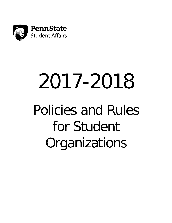

# 2017-2018 Policies and Rules

for Student Organizations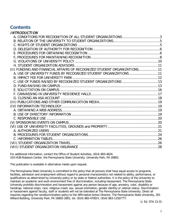## **Contents**

INTRODUCTION

| 11V 1 K U DU U 1 1 U IV                                                  |  |
|--------------------------------------------------------------------------|--|
|                                                                          |  |
|                                                                          |  |
|                                                                          |  |
|                                                                          |  |
|                                                                          |  |
|                                                                          |  |
|                                                                          |  |
|                                                                          |  |
| (II) FUNDING AND FINANCIAL AFFAIRS OF RECOGNIZED STUDENT ORGANIZATIONS11 |  |
| A. USE OF UNIVERSITY FUNDS BY RECOGNIZED STUDENT ORGANIZATIONS 11        |  |
|                                                                          |  |
|                                                                          |  |
|                                                                          |  |
|                                                                          |  |
|                                                                          |  |
|                                                                          |  |
|                                                                          |  |
|                                                                          |  |
|                                                                          |  |
|                                                                          |  |
|                                                                          |  |
|                                                                          |  |
|                                                                          |  |
|                                                                          |  |
|                                                                          |  |
|                                                                          |  |
|                                                                          |  |
|                                                                          |  |

For additional information, contact the Office of Student Activities, (814) 863-4624, 103 HUB-Robeson Center, the Pennsylvania State University, University Park, PA 16802.

This publication is available in alternative media upon request.

The Pennsylvania State University is committed to the policy that all persons shall have equal access to programs, facilities, admission and employment without regard to personal characteristics not related to ability, performance, or qualifications as determined by University policy or by state or federal authorities. It is the policy of the University to maintain an academic and work environment free of discrimination, including harassment. The Pennsylvania State University prohibits discrimination and harassment against any person because of age, ancestry, color, disability or handicap, national origin, race, religious creed, sex, sexual orientation, gender identity or veteran status. Discrimination or harassment against faculty, staff or students will not be tolerated at The Pennsylvania State University. Direct all inquiries regarding the nondiscrimination policy to the Affirmative Action Director, The Pennsylvania State University, 201 Willard Building, University Park, PA 16802-2801; tel. (814) 865-4700/V, (814) 863-1150/TTY.

U. Ed. STA 13-31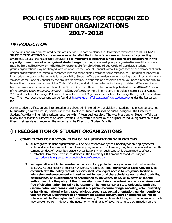# **POLICIES AND RULES FOR RECOGNIZED STUDENT ORGANIZATIONS 2017-2018**

## INTRODUCTION

The policies and rules enumerated herein are intended, in part, to clarify the University's relationship to RECOGNIZED STUDENT ORGANIZATIONS and also are intended to reflect the institution's concerns and interests for promoting awareness, values, and responsible behavior. **It is important to note that when persons are functioning in the capacity of members of a recognized student organization, a student group/organization and its officers may be held collectively or individually responsible for violations of the Code of Conduct.** Student groups/organizations may be charged with violations of the Code of Conduct without regard to whether members of such groups/organizations are individually charged with violations arising from the same misconduct. A position of leadership in a student group/organization entails responsibility. Student officers or leaders cannot knowingly permit or condone any violation of the Code of Conduct by the group/organization. In your role as a student leader, you have a responsibility to take action to prevent violations of the Code of Conduct, and at minimum to notify the appropriate staff/advisor if you become aware of a potential violation of the Code of Conduct. Refer to the materials published in the 2016-2017 Edition of the Student Guide to General University Policies and Rules for more information. The Guide is current as of August 2016 and is subject to change. Policies and Rules for Student Organizations is subject to change throughout the academic year. The most recent document can be found at<http://studentaffairs.psu.edu/hub/studentorgs/> under the Resources tab.

Administrative clarification and interpretation of policies administered by the Division of Student Affairs can be obtained by submitting a written inquiry or request to the Director of Student Activities or his/her designee. The Director of Student Activities will furnish a written response within fifteen business days. The Vice President for Student Affairs can review the response of Director of Student Activities, upon written request by the original individual/organization, within fifteen business days of receiving the response of the Director of Student Activities.

## <span id="page-2-0"></span>**(I) RECOGNITION OF STUDENT ORGANIZATIONS**

## A. **CONDITIONS FOR RECOGNITION OF ALL STUDENT ORGANIZATIONS**

- **1.** All recognized student organizations will be held responsible by the University for abiding by federal, state, and local laws, as well as all University regulations. The University may become involved in the offcampus conduct of recognized student organizations when such conduct is determined to affect a Substantial University Interest (as defined in the University Off-Campus Misconduct Policy at [http://studentaffairs.psu.edu/conduct/policies/offcampus.shtml\)](http://studentaffairs.psu.edu/conduct/policies/offcampus.shtml).
- **2.** No organization which discriminates on the basis of any protected category as set forth in University policy AD-42 shall obtain or maintain University recognition. **The Pennsylvania State University is committed to the policy that all persons shall have equal access to programs, facilities, admission and employment without regard to personal characteristics not related to ability, performance, or qualifications as determined by University policy or by state or federal authorities. It is the policy of the University to maintain an academic and work environment free of discrimination, including harassment. The Pennsylvania State University prohibits discrimination and harassment against any person because of age, ancestry, color, disability or handicap, national origin, race, religious creed, sex, sexual orientation, gender identity or veteran status. Discrimination or harassment against faculty, staff or students will not be tolerated at the Pennsylvania State University.** Considerations shall be given to organizations which may be exempt from Title IX of the Education Amendments of 1972, relating to discrimination on the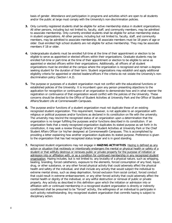basis of gender. Attendance and participation in programs and activities which are open to all students and/or the public at large must comply with the University's non-discrimination policies.

- **3.** Only currently registered students shall be eligible for active membership status in student organizations. All other persons, including but not limited to, faculty, staff, and community members, may be admitted to associate membership. Only currently enrolled students shall be eligible for active membership status in student organizations. All other persons, including but not limited to, faculty, staff, and community members, may be admitted to associate membership. All associate members must be 18 years of age or older. Dual enrolled high school students are not eligible for active membership. They may be associate members if 18 or older.
- **4.** Undergraduate students must be enrolled full-time at the time of their appointment or election to be eligible to serve as appointed or elected officers within their organizations. Graduate students may be enrolled full-time or part-time at the time of their appointment or election to be eligible to serve as appointed or elected officers within their organizations. Additionally, all officers of all student organizations must be enrolled at the campus where the organization is recognized and remain a degreeseeking student for the duration of their term. Student organizations may establish and apply additional eligibility criteria for appointed or elected leaders/officers if the criteria do not violate the University's nondiscrimination policy (Section I.A.2).
- **5.** The purpose or purposes of a student organization must not conflict with the educational functions or established policies of the University. It is incumbent upon any person presenting objections to the application for recognition or continuance of an organization to demonstrate how and in what manner the registration or continuance of that organization would conflict with the policies of the University. These concerns should be directed to the Office of Student Activities at University Park and the Office of Student Affairs/Student Life at Commonwealth Campuses.
- **6.** The purpose and/or functions of a student organization must not duplicate those of an existing recognized student organization. This requirement, however, is not applicable to an organization with religious or political purposes and/or functions as declared in its constitution on file with the university. The university may rescind the recognized status of an organization upon a determination that the organization is no longer fulfilling the purposes and/or functions described in its constitution. If an organization feels that a newly recognized organization duplicates its stated purpose as set forth in its constitution, it may seek a review through Director of Student Activities at University Park or the Chief Student Affairs Officer (or his/her designee) at Commonwealth Campuses. This is accomplished by providing a letter explaining how another organization duplicates its stated purpose. Preference is given to the organization that has had recognized status longer and is in good standing.
- **7.** Recognized student organizations may not engage in **HAZING ACTIVITIES**. Hazing is defined as any action or situation that recklessly or intentionally endangers the mental or physical health or safety of a student or that willfully destroys or removes public or private property for the purpose of initiation or admission into or affiliation with, or as a condition for continued membership in any recognized student organization. Hazing includes, but is not limited to, any brutality of a physical nature, such as whipping, beating, branding, forced calisthenics, exposure to the elements, forced consumption of any food, liquor, drug, or other substance, or any other forced physical activity that could adversely affect the physical health and safety of the individual, and shall include any activity that would subject the individual to extreme mental stress, such as sleep deprivation, forced exclusion from social contact, forced conduct that could result in extreme embarrassment, or any other forced activity that could adversely affect the mental health or dignity of the individual, or any willful destruction or removal of public or private property. Any activity as described in this definition upon which the initiation or admission into or affiliation with or continued membership in a recognized student organization is directly or indirectly conditioned shall be presumed to be "forced" activity, the willingness of an individual to participate in such activity notwithstanding. Any recognized student organization that commits hazing is subject to disciplinary action.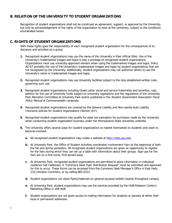## <span id="page-4-0"></span>**B. RELATION OF THE UNIVERSITY TO STUDENT ORGANIZATIONS**

Recognition of student organizations shall not be construed as agreement, support, or approval by the University, but only as acknowledgement of the rights of the organization to exist at the University, subject to the conditions enumerated herein.

## <span id="page-4-1"></span>**C. RIGHTS OF STUDENT ORGANIZATIONS**

With these rights goes the responsibility of each recognized student organization for the consequences of its decisions and activities as a group.

- **1.** Recognized student organizations may use the name of the University in their official titles. Use of the University's trademarked images and logos is also a privilege of recognized student organizations. Organizations must use university approved vendors when using the trademarked images and logos. Policy AD-07 prohibits the use of the University's trademarked images and logos by student organizations that are not recognized by the University. Additionally, student organizations may not authorize others to use the University's name or trademarked images and logos.
- **2.** Recognized student organizations may use University facilities subject to the duly established written rules governing such use.
- **3.** Recognized student organizations including Greek Letter social and service fraternities and sororities, may petition for the use of University funds subject to University regulations and the regulations of the University Park Allocation Committee at University Park and/or published in the Student Government Association Fiscal Policy Manual at Commonwealth campuses.
- **4.** Recognized student organizations are covered by the General Liability and Non-owned Auto Liability Insurance policies for student organizations (Section VIII).
- **5.** Recognized student organizations may qualify for sales tax exemption for purchases made by the University when conducting student organization business under the Pennsylvania State University umbrella.
- **6.** The University offers several ways for student organizations to market themselves to students who want to become involved.
	- **a.** All recognized student organizations may create a website at [http://sites.psu.edu.](http://sites.psu.edu/)
	- **b.** At University Park, the Office of Student Activities coordinates Involvement Fairs at the beginning of both the fall and spring semesters. All recognized student organizations are given an opportunity to register for the fairs during which they can set up a table with information about their groups. Sign-ups for the fairs are on a first-come, first-served basis.
	- **c.** At University Park, recognized student organizations are permitted to place information in individual residence hall mailboxes. A "Commons Desk Flyer Distribution Request" must be submitted and approved for this to occur. These forms can be accessed from the Commons Desk Manager's Office in East Halls, 133 Johnston Commons, or by calling 865-0313.
	- **d.** Student organizations can place flyers/materials on general purpose bulletin boards throughout campus.
	- **e.** At University Park, student organizations may use the services provided by the HUB-Robeson Center's Marketing Office in 209 HUB.
	- **f.** Student organizations are not given access to mailing information for students or parents at either their local or permanent addresses.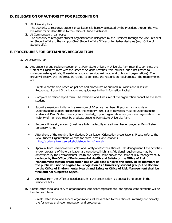## <span id="page-5-0"></span>**D. DELEGATION OF AUTHORITY FOR RECOGNITION**

**1.** At University Park

The authority to recognize student organizations is hereby delegated by the President through the Vice President for Student Affairs to the Office of Student Activities.

**2.** At Commonwealth campuses The authority to recognize student organizations is delegated by the President through the Vice President for Student Affairs to the campus Chief Student Affairs Officer or to his/her designee (e.g., Office of Student Life).

## <span id="page-5-1"></span>**E. PROCEDURES FOR OBTAINING RECOGNITION**

- **1.** At University Park
	- **a.** Any student group seeking recognition at Penn State University-University Park must first complete the "Intent to Organize" form with the Office of Student Activities (this includes, but is not limited to, undergraduate, graduate, Greek-letter social or service, religious, and club sport organizations). The group will receive the "Information Packet" to complete the recognition requirements. The requirements are:
		- i. Create a constitution based on policies and procedures as outlined in Policies and Rules for Recognized Student Organizations and guidelines in the "Information Packet."
		- ii. Complete an officer report form. The President and Treasurer of the organization cannot be the same student.
		- iii. Submit a membership list with a minimum of 10 active members. If your organization is an undergraduate student organization, the majority (50%+1) of members must be undergraduate students at Penn State-University Park. Similarly, if your organization is a graduate organization, the majority of members must be graduate students Penn State-University Park.
		- iv. Secure a University advisor (must be a full-time faculty or staff member employed at Penn State-University Park).
		- v. Attend one of the monthly New Student Organization Orientation presentations. Please refer to the New Student Organizations website for dates, times, and locations [\(http://studentaffairs.psu.edu/hub/studentorgs/new.shtml\)](http://studentaffairs.psu.edu/hub/studentorgs/new.shtml).
		- vi. Approval from Environmental Health and Safety and/or the Office of Risk Management if the activities and/or programs of the organization are considered high risk. Additional requirements may be determined by the Environmental Health and Safety Office and/or the Office of Risk Management. **A decision by the Office of Environmental Health and Safety or the Office of Risk Management that an organization has or will pose a risk to the safety of its members or the public will not be eligible for recognition as a University student group. The decision by the Office of Environmental Health and Safety or Office of Risk Management shall be final and not subject to appeal.**
	- vii. Approval from the Office of Residence Life, if the organization is a special living option in the residence halls.
	- **b.** Greek Letter social and service organizations, club sport organizations, and special considerations will be handled as follows:
		- i. Greek Letter social and service organizations will be directed to the Office of Fraternity and Sorority Life for review and recommendation and procedures.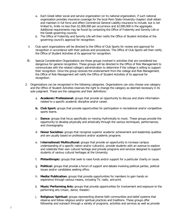- a. Each Greek letter social and service organization (or its national organization, if such national organization provides insurance coverage for the local Penn State University chapter) shall obtain and maintain in full force and effect Commercial General Liability insurance to include, but is not limited to, limits no less than \$1,000,000 per occurrence and \$2,000,000 in the aggregate. Additional requirements may be found by contacting the Office of Fraternity and Sorority Life or the Greek governing councils.
- b. The Office of Fraternity and Sorority Life will then notify the Office of Student Activities of the governing council's approval for recognition.
- ii. Club sport organizations will be directed to the Office of Club Sports for review and approval for recognition in accordance with their policies and procedures. The Office of Club Sports will then notify the Office of Student Activities of its approval for recognition.
- iii. Special Consideration Organizations are those groups involved in activities that are considered too dangerous for general recognition. These groups will be directed to the Office of Risk Management to communicate with the related college's administration to determine if the college is willing to support their recognition. Once the group receives the endorsement from the college and Risk Management, the Office of Risk Management will notify the Office of Student Activities of its approval for recognition.
- 2. Organizations can be recognized in the following categories. Organizations can only choose one category and the Office of Student Activities reserves the right to change the category as deemed necessary in its sole judgment. These are the categories and their definitions:
	- a. **Academic/Professional:** groups that provide an opportunity to discuss and share information related to a specific academic discipline and/or career.
	- **b. Club Sport:** groups that provide opportunities for participation in recreational and/or competitive sports teams.
	- c. **Dance:** groups that focus specifically on moving rhythmically to music. These groups provide the opportunity to develop physically and artistically through the various techniques, performances, and choreography.
	- d. **Honor Societies:** groups that recognize superior academic achievement and leadership qualities and are usually based on professions and/or academic programs.
	- e. **International/Multicultural:** groups that provide an opportunity to increase campus understanding of a specific nation and/or culture(s), provide students with an avenue to explore and celebrate their own cultural heritage and provide programs and services designed to support students of various cultural heritages at the University.
	- f. **Philanthropic:** groups that seek to raise funds and/or support for a particular charity or cause.
	- g. **Political:** groups that provide a forum of support and debate involving political parties, political issues and/or candidates seeking office.
	- h. **Media/Publication:** groups that provide opportunities for members to gain hands on experience through various means, including TV, radio, and print.
	- **i. Music/Performing Arts:** groups that provide opportunities for involvement and exposure to the performing arts (music, dance, theater).
	- j. **Religious/Spiritual:** groups representing diverse faith communities and belief systems that observe and follow religious and/or spiritual practices and traditions. These groups offer fellowship and outreach through a variety of programs, activities and services as well as provide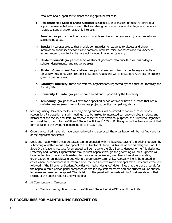resources and support for students seeking spiritual wellness.

- k. **Residence Hall Special Living Options:** Residence Life sponsored groups that provide a supportive residential environment that will strengthen students' overall collegiate experience related to special and/or academic interests.
- l. **Service:** groups that function mainly to provide service to the campus and/or community and surrounding areas.
- m. **Special Interest:** groups that provide communities for students to discuss and share information about specific topics and common interests, raise awareness about a variety of issues, and/or cover topics that are not included in another category.
- n. **Student Council:** groups that serve as student governments/councils in various colleges, schools, departments, and residence areas.
- o. **Student Government Association**: groups that are recognized by the Pennsylvania State University President, Vice President of Student Affairs and Office of Student Activities for student governance purposes.
- p. **Sorority/Fraternity:** these are fraternal organizations registered by the Office of Fraternity and Sorority Life.
- q. **University Affiliate:** groups that are created and supported by the University.
- r. **Temporary**: groups that will exist for a specified period of time or have a purpose that has a definite timeline (examples include class projects, political campaigns, etc…)
- 3. Meetings using University facilities for organizing purposes will be limited to two in number prior to recognition. Participation at such meetings is to be limited to interested currently enrolled students and members of the faculty and staff. To reserve space for organizational purposes, the "Intent to Organize" form must be turned into the Office of Student Activities in 103 HUB. The group will obtain a copy of that form to take to the Event Management office in 125 HUB.
- 4. Once the required materials have been reviewed and approved, the organization will be notified via email of the organization's status.
- 5. Decisions made within these processes can be appealed within 3 business days of the original decision by submitting a written request for appeal to the Director of Student Activities or her/his designee. For Club Sport Organizations, request for an appeal will be made to the Club Sports Manager or her/his designee. Fraternity and Sorority Organizations may request appeals through the governing councils. Appeals will be accepted from the students wishing to create an organization, members of an already existing organization, or an individual group within the University community. Appeals will only be granted in cases where new evidence is discovered after the decision was made or if applicable procedures were not followed. If the Director of Student Activities (or his/her designee) determines that there are grounds for the appeal a three person panel comprised of two faculty/staff members and one student will be chosen to review and rule on the appeal. The decision of the panel will be made within 5 business days of their receipt of the appeal request and will be final.
- 6. At Commonwealth Campuses:
	- a. To obtain recognition, contact the Office of Student Affairs/Office of Student Life.

## <span id="page-7-0"></span>**F. PROCEDURES FOR MAINTAINING RECOGNITION**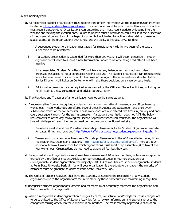#### **1.** At University Park

- **a.** All recognized student organizations must update their officer information via the eStudentUnion interface located at [http://studentaffairs.psu.edu/esu.](http://studentaffairs.psu.edu/esu) This information must be submitted within 2 months of the most recent election date. Organizations can determine their most recent update by logging into the website and viewing the election date. Failure to update officer information could result in the suspension of the organization and loss of privileges, including but not limited to, active status, ability to reserve space, access to the organization's ASA funds, and the ability to request UPAC funding.
	- i. A suspended student organization must apply for reinstatement within two years of the date of suspension to be reinstated.
	- ii. If a student organization is suspended for more than two years, it will become inactive. A student organization will need to submit a new Information Packet to become recognized after it has been inactive.

1.ii.a. Associated Student Activities (ASA) will transfer any balance from an inactive student organization's account into a centralized holding account. The student organization can request those funds to be returned to its account if it becomes active again. These requests are directed to the Senior Director, HUB-Robeson Center who will make these decisions on a case-by-case basis.

- iii. Additional information may be required as requested by the Office of Student Activities, including but not limited to, a new constitution and advisor approval form.
- **b.** The President and Treasurer of an organization cannot be the same student.
- **c.** A representative from all recognized student organizations must attend the mandatory officer training workshops. These workshops are offered several times in August and September, and once every subsequent month of the fall semester. These workshops are also offered two times in January and once every subsequent month for the spring semester. If a student organization does not fulfill the below requirements as of the day following the second September scheduled workshop, the organization will lose all privileges of recognition as outlined on the previously mentioned website.
	- i. Presidents must attend one President's Workshop. Please refer to the Student Organization website for dates, times, and locations [\(http://studentaffairs.psu.edu/hub/studentorgs/sootrainings.shtml\)](http://studentaffairs.psu.edu/hub/studentorgs/sootrainings.shtml).
	- ii. Treasurers must attend one Treasurer's Workshop. Please refer to the ASA website for dates, times, registration instructions and locations [\(http://studentaffairs.psu.edu/hub/finance/\)](http://studentaffairs.psu.edu/hub/finance/).There are four additional breakout workshops for which organizations must send a representative(s) to two of the four workshops. Organizations do not need to attend all four but they can.
- **d.** Recognized student organizations must maintain a minimum of 10 active members, unless an exception is granted by the Office of Student Activities for demonstrated cause. If your organization is an undergraduate student organization, the majority (50%+1) of members must be undergraduate students at Penn State-University Park. Similarly, if your organization is a graduate organization, the majority of members must be graduate students at Penn State-University Park.
- **e.** The Office of Student Activities shall have the authority to suspend the recognition of any student organization due to the organization's failure to abide by these procedures for maintaining recognition.
- **f.** Recognized student organizations, officers and members must accurately represent the organization and their roles within the organization.
- **g.** When a recognized student organization changes its name, constitution and/or bylaws, those changes are to be submitted to the Office of Student Activities for its review, information, and approval prior to the changes becoming official via the eStudentUnion interface. The most recently approved version of an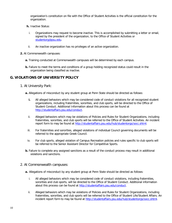organization's constitution on file with the Office of Student Activities is the official constitution for the organization.

- **h.** Inactive Status:
	- i. Organizations may request to become inactive. This is accomplished by submitting a letter or email, signed by the president of the organization, to the Office of Student Activities or [studentorg@psu.edu.](mailto:studentorg@psu.edu)
- ii. An inactive organization has no privileges of an active organization.
- **2.** At Commonwealth campuses:
	- **a.** Training conducted at Commonwealth campuses will be determined by each campus.
	- **b.** Failure to meet the terms and conditions of a group holding recognized status could result in the organization being classified as inactive.

## <span id="page-9-0"></span>**G. VIOLATIONS OF UNIVERSITY POLICY**

- 1. At University Park:
	- **a.** Allegations of misconduct by any student group at Penn State should be directed as follows:
		- **i.** All alleged behaviors which may be considered code of conduct violations for all recognized student organizations, including fraternities, sororities, and club sports, will be directed to the Office of Student Conduct. Additional Information about this process can be found at [http://studentaffairs.psu.edu/conduct.](http://studentaffairs.psu.edu/conduct)
		- ii. Alleged behaviors which may be violations of Policies and Rules for Student Organizations, including fraternities, sororities, and club sports will be referred to the Office of Student Activities. An incident report form to may be found at [http://studentaffairs.psu.edu/hub/studentorgs/socc.shtml.](http://studentaffairs.psu.edu/hub/studentorgs/socc.shtml)
		- iii. For fraternities and sororities, alleged violations of individual Council governing documents will be referred to the appropriate Greek Council.
		- iv. For club sports, alleged violation of Campus Recreation policies and rules specific to club sports will be referred to the Senior Assistant Director for Competitive Sports.
	- **b.** Failure to complete any assigned sanctions as a result of the conduct process may result in additional violations and sanctions.
- 2. At Commonwealth campuses:
	- **a.** Allegations of misconduct by any student group at Penn State should be directed as follows:
		- i. All alleged behaviors which may be considered code of conduct violations, including fraternities, sororities and club sports, will be directed to the Office of Student Conduct. Additional information about this process can be found at [http://studentaffairs.psu.edu/conduct.](http://studentaffairs.psu.edu/conduct)
		- ii. Alleged behaviors which may be violations of Policies and Rules for Student Organizations, including fraternities, sororities, and club sports will be referred to the Office of Student Life/Student Affairs. An incident report form to may be found at [http://studentaffairs.psu.edu/hub/studentorgs/socc.shtml.](http://studentaffairs.psu.edu/hub/studentorgs/socc.shtml)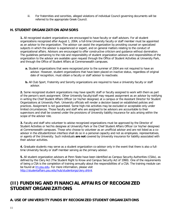iii. For fraternities and sororities, alleged violations of individual Council governing documents will be referred to the appropriate Greek Council.

## <span id="page-10-0"></span>**H. STUDENT ORGANIZATION ADVISORS**

**1.** All recognized student organizations are encouraged to have faculty or staff advisors. For all student organizations recognized after August 1, 2004, a full-time University faculty or staff member must be appointed as an advisor to the organization. The advisor can assist the organization by providing counsel on specialized subjects in which the advisor is experienced or expert, and on general matters relating to the conduct of organizational affairs. Advisors are encouraged to offer constructive criticism and guidance without domination. The guidelines pertaining to the role and responsibility of student organization advisors and responsibilities of the organization to the advisor are available upon request through the Office of Student Activities at University Park, and through the Office of Student Affairs at Commonwealth campuses.

- **a.** Student organizations that were recognized prior to the summer of 2004 are not required to have an advisor. However, student organizations that have been placed on inactive status, regardless of original date of recognition, must obtain a faculty or staff advisor to reactivate.
- **b.** All Club Sport, Fraternity and Sorority organizations are required to have a University faculty or staff advisor.

**2.** Some recognized student organizations may have specific staff or faculty assigned to work with them as part of the person's work assignment. Other University faculty/staff may request assignment as an advisor by notifying in writing the Chief Student Affairs Officer (or his/her designee) at a campus or the Assistant Director for Student Organizations at University Park. University officials will render a decision based on established policies and practices. Assignment is not guaranteed. Some high-risk activities may be excluded or acceptable only under limited circumstances. Those faculty and staff who are assigned to be advisors are accountable to their supervisors and shall be covered under the provisions of University liability insurance for acts arising within the scope of the advisor role.

**3.** Faculty and staff who volunteer to advise recognized organizations must be approved by the Director of Student Activities or her/his designee at University Park or the Chief Student Affairs Officer (or his/her designee) at Commonwealth campuses. Those who choose to volunteer as an unofficial advisor and are not listed as a coadvisor in the eStudentUnion interface shall do so in a personal capacity and not as employees, representatives, or agents of the University. Such individuals **are not** covered by University insurance for liability associated with their advisor activities.

**4.** Graduate students may serve as a student organization co-advisor only in the event that there is also a fulltime University faculty or staff member serving as the primary advisor.

**5.** All student organization advisors at Penn State have been identified as Campus Security Authorities (CSAs), as defined by the Clery Act (The Student Right to Know and Campus Security Act of 1990). One of the requirements of being a CSA is the completion of training annually about the responsibilities of a CSA. The training module can be found at Irn.psu.edu. For more information, please visit [http://studentaffairs.psu.edu/hub/studentorgs/clery.shtml.](http://studentaffairs.psu.edu/hub/studentorgs/clery.shtml)

## <span id="page-10-1"></span>**(II) FUNDING AND FINANCIAL AFFAIRS OF RECOGNIZED STUDENT ORGANIZATIONS**

## <span id="page-10-2"></span>**A. USE OF UNIVERSITY FUNDS BY RECOGNIZED STUDENT ORGANIZATIONS**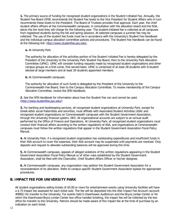**1.** The primary source of funding for recognized student organizations is the Student Initiated Fee. Annually, the Student Fee Board (SFB) recommends the Student Fee levels to the Vice President for Student Affairs who in turn recommends these levels to the President; The Board of Trustees provides final approval. Each year, the chief student affairs officers at the Commonwealth campuses, in consultation with the allocation board and the SGA, elects the tier level they will charge for the following year. The student-initiated fee is collected at all campuses from registered students during the fall and spring sessions. At selected campuses a summer fee may be collected. The use of the student fee funds must be in accordance with the University's Student Fee Handbook and the individual campus allocation committee policies and procedures. The Student Fee Handbook can be found at the following link: [http://www.studentfee.psu.edu/.](http://www.studentfee.psu.edu/)

#### **a.** At University Park

The authority for allocation of the activities portion of the Student Initiated Fee is hereby delegated by the President of the University to the University Park Student Fee Board, then to the University Park Allocation Committee (UPAC). UPAC will consider funding requests made by recognized student organizations and other campus groups on a first-come, first-served basis. UPAC is comprised of at least 28 students with 8 student elected at large members and at least 20 students appointed members.

**b.** At Commonwealth campuses

The authority for allocation of such funds is delegated by the President of the University to the Commonwealth Fee Board, then to the Campus Allocation Committee. To review membership of the Campus Allocation Committee, review the SFB Handbook.

**2.** See the SFB Handbook for information about how the Student Fee can and cannot be used. [\(http://www.studentfee.psu.edu/\)](http://www.studentfee.psu.edu/)

**3.** For banking and bookkeeping services, all recognized student organizations at University Park, except for Greek-letter social fraternities and sororities, must affiliate with Associated Student Activities (ASA) and recognized student organizations on Commonwealth campuses with the Student Government Association, through the University financial system, IBIS. All organizational accounts are subject to an annual audit performed by the Office of Finance and Operations. At University Park, all recognized student organizations must conduct their financial affairs according to the written regulations of ASA, and organizations at Commonwealth campuses must follow the written regulations that appear in the Student Government Association Fiscal Policy Manual.

**4.** At University Park, if a recognized student organization has outstanding expenditures and insufficient funds in their ASA account to cover the expenses, their ASA account may be suspended until payments are resolved. Only deposits and request to alleviate outstanding balances will be approved during this time.

**5.** At Commonwealth campuses, appeals of alleged violations of the written regulations appearing in the Student Government Association Fiscal Policy Manual or of other rules established by the Student Government Association, shall be filed with the Chancellor, Chief Student Affairs Officer or his/her designee.

**6.** At Commonwealth campuses, any organization may petition the Student Government Association for a reconsideration of its allocation. Refer to campus specific Student Government Association bylaws for appropriate procedures.

## <span id="page-11-0"></span>**B. IMPACT FEE FOR UNIVERSITY PARK**

All student organizations selling tickets of \$5.00 or more for entertainment events using University facilities will have a \$.75 impact fee assessed for each ticket sold. The fee will be deposited into the ASA Impact Fee Account (account #9991) for transfer to the University. For events held in Eisenhower Auditorium and the Bryce Jordan Center or for which the Eisenhower/Bryce Jordan Center box office handles ticketing, the impact fee will be collected by the box office for transfer to the University. Patrons should be made aware of this impact fee at the time of purchase by an indication on each ticket.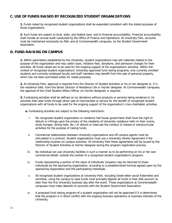## <span id="page-12-0"></span>**C. USE OF FUNDS RAISED BY RECOGNIZED STUDENT ORGANIZATIONS**

**1.** Funds raised by recognized student organizations shall be expended consistent with the stated purposes of those organizations.

**2.** Such funds are subject to local, state, and federal laws, and to financial accountability. Financial accountability shall include an annual audit conducted by the Office of Finance and Operations. At University Park, accounts must be maintained exclusively by ASA, and at Commonwealth campuses, by the Student Government Association.

#### <span id="page-12-1"></span>**D. FUND-RAISING ON CAMPUS**

**1.** Within parameters established by the University, student organizations may sell materials related to the purpose of the organization and may collect dues, initiation fees, donations, and admission charges for their activities. All funds raised are to be used for the ongoing support of the organizations' activities. Within the context of recognized student organizations' University-approved fund raising programs, only currently enrolled students and currently employed faculty and staff members may benefit from the sale of personal property, which has not been purchased solely for resale purposes.

**2.** At University Park, approval is required from the Director of Student Activities or his or her designee or, if in the residence halls, from the Senior Director of Residence Life or his/her designee. At Commonwealth campuses, the approval of the Chief Student Affairs Officer (or his/her designee) is required.

**3.** Fundraising activities shall be defined as (a) donations without products or services being rendered or (b) activities that raise funds through direct sale of merchandise or service for the benefit of recognized student organizations with all funds to be used for the ongoing support of the organization's (non-charitable) activities.

- **a.** Fundraising activities are subject to the following restrictions:
	- i. No recognized student organization or residence hall house government shall have the right to disturb or infringe upon the privacy of the residents of University residence halls (in their rooms, study lounges, dining halls, etc.) or disturb or interrupt the conduct of classes or extracurricular activities for the purpose of raising funds.
	- ii. Commercial relationships between University organizations and off-campus agents must be articulated in a contract. Student organizations must use a University Vendor Agreement if the relationship involves on-campus activities. At University Park these agreements will be issued by the Director of Student Activities or his/her designee during the program registration process.
	- iii. No individual can use University facilities in such a manner as to be performing on his or her own commercial behalf, outside the context of a recognized student organization's program.
	- iv. Funds representing a portion of the value of individuals' property may be returned to those individuals by the sponsoring organization, according to a predetermined formula agreed upon by the sponsoring organization and the participating individuals.
	- v. All recognized student organizations at University Park, including Greek-letter social fraternities and sororities, using the campus to raise funds must promptly deposit all funds in their ASA account no later than the first University business day after the event. Those organizations at Commonwealth campuses must make deposits to accounts with the Student Government Association.
- vi. A proposed fund raising program of a student organization will not be approved if it is determined that the program is in direct conflict with the ongoing business operations or business interests of the University.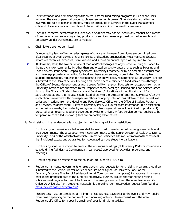- vii. For information about student organization requests for fund raising programs in Residence Halls involving the sale of personal property, please see section b below. All fund-raising activities not involving the sale of personal property must be scheduled in advance in the Event Management Office at University Park or the Office of Student Affairs at Commonwealth campuses.
- viii. Lectures, concerts, demonstrations, displays, or exhibits may not be used in any manner as a means of promoting commercial companies, products, or services unless approved by the University and University Vendor Agreements are completed.
- ix. Chain letters are not permitted.
- x. As required by law, raffles, lotteries, games of chance or the use of premiums are permitted only after securing a small games of chance license and student organizations must maintain accurate records of revenues, expenses, prize winners and submit an annual report as required by law.
- xi. At University Park, the sale or service of food and/or beverages at any function or program open to the public and/or community by other than authorized University departments such as Housing and Food Services, Penn State Hospitality Services, University Creamery, or by an accepted external food and beverage provider contracting for food and beverage services, is prohibited. For recognized student organizations, requests for exceptions to the above policy requirements at University Park are submitted to the University Park Housing and Food Services Office via a food waiver form through the Office of Events Management or event space facility manager. Requests for exception from other University locations are submitted to the respective campus/college Housing and Food Service Office through the Office of Student Programs and Services. (At locations with no Housing and Food Services Operations, the request is submitted directly to the Director of Business Services.) After the application is reviewed with the respective offices as appropriate, actions relative to the request will be issued in writing from the Housing and Food Services Office (or the Office of Student Programs and Services, as appropriate). Refer to University Policy AD-26 for more information. If an exception to the policy is made, food sales by recognized student organizations will be limited to products: 1) prepared by an external food and beverage provider or University food service, 2) not required to be temperature controlled, and/or 3) that are prepackaged for resale.

**b.** Fund raising in the residence halls is subject to the following additional restrictions:

- i. Fund raising in the residence hall areas shall be restricted to residence hall house governments and area governments. The area government can recommend to the Senior Director of Residence Life (at University Park) or the Assistant/Associate Director of Residence Life (at Commonwealth campuses) that individual exceptions be granted for recognized campus student organizations.
- ii. Fund raising shall be restricted to areas in the commons buildings (at University Park) or immediately outside dining facilities (at Commonwealth campuses) approved for activities, programs, and meetings.
- iii. Fund raising shall be restricted to the hours of 8:00 a.m. to 11:00 p.m.
- iv. Residence hall house governments or area government requests for fund raising programs should be submitted to the Senior Director of Residence Life or designee (at University Park) or the Assistant/Associate Director of Residence Life (at Commonwealth campuses) for approval two weeks prior to the proposed date of the fund raising activity. Further, groups sponsoring fund raising activities must register for use of facilities with the area government and the area Residence Life Office. At University Park, students must submit the online room reservation request form found at [https://25live.collegenet.com/psu/.](https://25live.collegenet.com/psu/)

This process must be completed a minimum of six business days prior to the event and may require more time depending on the nature of the fundraising activity. Please consult with the area Residence Life Office for a specific timeline of your fund raising activity.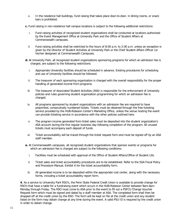- v. In the residence hall buildings, fund raising that takes place door-to-door, in dining rooms, or snack bars is prohibited.
- **c.** Fund raising in non-residence hall campus locations is subject to the following additional restrictions:
	- i. Fund raising activities of recognized student organizations shall be conducted at locations authorized by the Event Management Office at University Park and the Office of Student Affairs at Commonwealth campuses.
	- ii. Fund raising activities shall be restricted to the hours of 8:00 a.m. to 2:00 a.m. unless an exception is given by the Director of Student Activities at University Park or the Chief Student Affairs Officer (or his/her designee) at Commonwealth Campuses.
- **d.** At University Park, all recognized student organizations sponsoring programs for which an admission fee is charged, are subject to the following restrictions:
	- i. Appropriate University facilities should be scheduled in advance. Existing procedures for scheduling and use of University facilities should be followed.
	- ii. The treasurer of each sponsoring organization is charged with the overall responsibility for the proper handling of generated income from programs.
	- iii. The treasurer of Associated Student Activities (ASA) is responsible for the enforcement of University policies and rules governing student organization programming for which an admission fee is charged.
	- iv. All programs sponsored by student organizations with an admission fee are required to have preprinted, consecutively numbered tickets. Tickets must be obtained through the free ticketing service provided by the HUB-Robeson Center's Marketing Office, unless the venue hosting the event can provide ticketing service in accordance with the other policies outlined here.
	- v. The program income generated from ticket sales must be deposited into the student organization's ASA account during the first regular business day following completion of the program. All unused tickets must accompany each deposit of funds.
	- vi. Ticket accountability will be traced through the ticket request form and must be signed off by an ASA staff member.
- **e.** At Commonwealth campuses, all recognized student organizations that sponsor events or programs for which an admission fee is charged are subject to the following conditions:
	- i. Facilities must be scheduled with approval of the Office of Student Affairs/Office of Student Life.
	- ii. Ticket sales and ticket accountability procedures are to be established. Refer to the SGA Fiscal Policy and Procedure Manual, Exhibit A for the ticket accountability form.
	- iii. All generated income is to be deposited within the appropriate cost center, along with the necessary forms, including a ticket accountability report form.

**4**. As a service to University Park RSO's, the Penn State Federal Credit Union is available to provide change for RSO's that have a table for a fundraising event which occurs in the HUB-Robeson Center between 9am-4pm Monday through Friday. The RSO must come to ASA prior to the event to fill out a PSFCU Change Voucher Request form which must be signed and dated by a staff member at ASA. The completed form shall then be dropped off at the credit union by the RSO. The form will be kept on file at the credit union and any student listed on the form may obtain change at any time during the event. A valid PSU ID is required by the credit union in order to obtain change.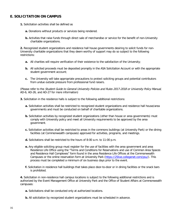## <span id="page-15-0"></span>**E. SOLICITATION ON CAMPUS**

- **1.** Solicitation activities shall be defined as
	- **a.** Donations without products or services being rendered.
	- **b.** Activities that raise funds through direct sale of merchandise or service for the benefit of non-University charitable organizations.

**2.** Recognized student organizations and residence hall house governments desiring to solicit funds for non-University charitable organizations that they deem worthy of support may do so subject to the following restrictions:

- **a.** All charities will require verification of their existence to the satisfaction of the University;
- **b.** All solicited proceeds must be deposited promptly in the ASA Solicitation Account or with the appropriate student government account;
- **c.** The University will take appropriate precautions to protect soliciting groups and potential contributors from undue outside pressure from professional fund raisers.

(Please refer to the Student Guide to General University Policies and Rules 2017-2018 or University Policy Manual, AD-6, AD-26, and AD-27 for more information)

- **3.** Solicitation in the residence halls is subject to the following additional restrictions:
	- **a.** Solicitation activities shall be restricted to recognized student organizations and residence hall house/area governments and must be conducted on behalf of charitable organizations.
	- **b.** Solicitation activities by recognized student organizations (other than house or area governments) must comply with University policy and meet all University requirements to be approved by the area government.
	- **c.** Solicitation activities shall be restricted to areas in the commons buildings (at University Park) or the dining facilities (at Commonwealth campuses) approved for activities, programs, and meetings.
	- **d.** Solicitations shall be restricted to the hours of 8:00 a.m. to 11:00 p.m.
	- **e.** Any eligible soliciting group must register for the use of facilities with the area government and area Residence Life Office using the "Terms and Conditions for Reservations and use of Common Area Spaces and Residence Hall Complexes" form found in the area Residence Life Offices at the Commonwealth Campuses or the online reservation form at University Park [\(https://25live.collegenet.com/psu/\)](https://25live.collegenet.com/psu/). This process must be completed a minimum of six business days prior to the event.
	- **f.** Solicitation in residence hall buildings that takes place door-to-door or in dining facilities or the snack bars is prohibited.

**4.** Solicitation in non-residence hall campus locations is subject to the following additional restrictions and is authorized by the Event Management Office at University Park and the Office of Student Affairs at Commonwealth campuses:

- **a.** Solicitations shall be conducted only at authorized locations.
- **b.** All solicitation by recognized student organizations must be scheduled in advance.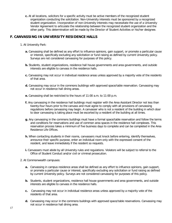**c.** At all locations, solicitors for a specific activity must be active members of the recognized student organization conducting the solicitation. Non-University interests must be sponsored by a recognized student organization. Incorporation of non-University interests may necessitate the use of a University Vendor Agreement to articulate the relationship between the recognized student organization and the other party. This determination will be made by the Director of Student Activities or his/her designee.

## <span id="page-16-0"></span>**F. CANVASSING IN UNIVERSITY RESIDENCE HALLS**

- 1. At University Park:
	- **a.** Canvassing shall be defined as any effort to influence opinions, gain support, or promote a particular cause or interest, specifically excluding any solicitation or fund raising as defined by current University policy. Surveys are not considered canvassing for purposes of this policy.
	- **b.** Students, student organizations, residence hall house governments and area governments, and outside interests are eligible to canvass in the residence halls.
	- **c.** Canvassing may not occur in individual residence areas unless approved by a majority vote of the residents of that area.
	- **d.** Canvassing may occur in the commons buildings with approved space/table reservation. Canvassing may not occur in residence hall dining areas.
	- **e.** Canvassing shall be restricted to the hours of 11:00 a.m. to 11:00 p.m.
	- **f.** Any canvassing in the residence hall buildings must register with the Area Assistant Director not less than twenty-four hours prior to the canvass and must agree to comply with all provisions of canvassing regulations before canvassing may begin. A canvasser who is not a resident of the building in which door to door canvassing is taking place must be escorted by a resident of the building at all times.
	- **g.** Any canvassing in the commons buildings must have a formal space/table reservation and follow the terms and conditions for reservations and use of common area spaces in the residence hall complexes. This reservation process takes a minimum of five business days to complete and can be completed in the Area Residence Life Offices.
	- **h.** When contacting students in their rooms, canvassers must knock before entering, identify themselves, announce their specific purpose, enter an individual room only with the expressed consent of the resident, and leave immediately if the resident so requests.
	- **i.** Canvassers must abide by all University rules and regulations. Violators will be subject to referral to the Office of Student Conduct and/or civil or criminal prosecution.
- 2. At Commonwealth campuses:
	- **a.** Canvassing in campus residence areas shall be defined as any effort to influence opinions, gain support, or promote a particular cause or interest, specifically excluding any solicitation or fund raising as defined by current University policy. Surveys are not considered canvassing for purposes of this policy.
	- **b.** Students, student organizations, residence hall house governments and area governments, and outside interests are eligible to canvass in the residence halls.
	- **c.** Canvassing may not occur in individual residence areas unless approved by a majority vote of the residents of that area.
	- **d.** Canvassing may occur in the commons buildings with approved space/table reservations. Canvassing may not occur in residence hall dining area.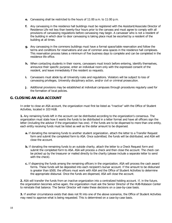- **e.** Canvassing shall be restricted to the hours of 11:00 a.m. to 11:00 p.m.
- **f.** Any canvassing in the residence hall buildings must be registered with the Assistant/Associate Director of Residence Life not less than twenty-four hours prior to the canvass and must agree to comply with all provisions of canvassing regulations before canvassing may begin. A canvasser who is not a resident of the building in which door to door canvassing is taking place must be escorted by a resident of the building at all times.
- **g.** Any canvassing in the commons buildings must have a formal space/table reservation and follow the terms and conditions for reservations and use of common area spaces in the residence hall complexes. This reservation process takes a minimum of five business days to complete and can be completed in the residence life office.
- **h.** When contacting students in their rooms, canvassers must knock before entering, identify themselves, announce their specific purpose, enter an individual room only with the expressed consent of the resident, and leave immediately if the resident so requests.
- **i.** Canvassers must abide by all University rules and regulations. Violators will be subject to loss of canvassing privileges, University disciplinary action, and/or civil or criminal prosecution.
- **j.** Additional provisions may be established at individual campuses through procedures regularly used for the formation of local policies.

## <span id="page-17-0"></span>**G. CLOSING AN ASA ACCOUNT**

In order to close an ASA account, the organization must first be listed as "Inactive" with the Office of Student Activities, located in 103 HUB.

**1.** Any remaining funds left in the account can be distributed according to the organization's consensus. The organization must state how it wants the funds to be distributed in a letter format and have all officers sign the letter (including the advisor if the organization has one). If the funds are to be dispersed to more than one entity, each entity receiving funds must be listed as well as the dollar amount to be dispersed.

- **a.** If donating the remaining funds to another student organization, attach the letter to a Transfer Request form and submit the completed form to ASA. Once submitted, the funds will be distributed, and ASA will close the account.
- **b.** If donating the remaining funds to an outside charity, attach the letter to a Check Request form and submit the completed form to ASA. ASA will process a check and then close the account. The check can be picked up by the treasurer or mailed directly to the charity (please include a separate letter to send with the check).
- **c.** If dispersing the funds among the remaining officers in the organization, ASA will process the cash award forms. These funds will be deposited into each recipient's bursar account. If the amount to be disbursed is greater than \$500, the officers must work with ASA and the Office of Student Activities to determine the appropriate disbursal. Once the funds are dispersed, ASA will close the account.

**2.** ASA will transfer the funds from an inactive organization into a centralized holding account. If, in the future, the organization becomes active again, the organization must ask the Senior Director of the HUB-Robeson Center to reinstate that balance. The Senior Director will make these decisions on a case-by-case basis.

<span id="page-17-1"></span>**3.** If another circumstance exists that does not fit into one of the above scenarios, the Office of Student Activities may need to approve what is being requested. This is determined on a case-by-case basis.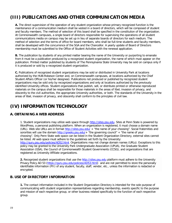## **(III) PUBLICATIONS AND OTHER COMMUNICATION MEDIA**

**A.** The direct supervision of the operation of any student organization whose primary recognized function is the maintenance of a communication medium shall be vested in a board of directors, which will be composed of student and faculty members. The method of selection of this board shall be specified in the constitution of the organization. At Commonwealth campuses, a single board of directors responsible for supervising the operations of all student communications media on campus may be set up in lieu of separate boards of directors for each medium. The method of selection and the terms of office for board members, who shall be full-time students and faculty members, shall be developed with the concurrence of the SGA and the Chancellor. A yearly update of Board of Directors membership must be submitted to the Office of Student Activities with the renewal application.

**B.** The publication by students of any printed matter bearing the name of the University or purporting to emanate from it must be a publication produced by a recognized student organization, the name of which must appear on the publication. Printed matter published by students of The Pennsylvania State University may be sold on campus only if it is produced or sold by a recognized student organization.

**C.** Publications of recognized student organizations may be sold or distributed in University Park at locations authorized by the HUB-Robeson Center and, on Commonwealth campuses, at locations authorized by the Chief Student Affairs Officer (or his/her designee). Publications not produced or published by recognized student organizations may be sold only by recognized organizations and only at locations authorized by the previously identified University offices. Student organizations that publish, sell, or distribute printed or otherwise reproduced materials on the campus shall be responsible for those materials in the areas of libel, invasion of privacy, and obscenity to the civil authorities, the appropriate University authorities, or both. The standards of the University in the areas of libel, invasion of privacy, and obscenity shall conform to the principles of civil law.

## **(IV) INFORMATION TECHNOLOGY**

## <span id="page-18-1"></span>**A. OBTAINING A WEB ADDRESS**

<span id="page-18-0"></span>1. Student organizations may utilize web space through [http://sites.psu.edu.](http://sites.psu.edu/) Sites at Penn State is powered by WordPress, a personal publishing platform. When an organization is registered, it must choose a domain name (URL). Web site URLs are in format <http://sites.psu.edu/> + "the name of your choosing". Social fraternities and sororities will use the domain [http://greeks.psu.edu/+](http://greeks.psu.edu/) "the governing council" + "the name of your choosing". Only Penn State web space can be listed in the Student Organization Directory, external sites cannot be listed. All web space must adhere to the guidelines set forth by the University: http://guru.psu.edu/policies/AD52.html</u>. Organizations may not change domain names (URLs). Exceptions to this policy may be granted to the University Park Undergraduate Association (UPUA), the Graduate Student Association (GSA), the Council of Commonwealth Student Governments (CCSG), and organizations that are registered as University Affiliate organizations.

**2.** Recognized student organizations that use the [http://sites.psu.edu](http://sites.psu.edu/) platform must adhere to the University Privacy Policy AD 53 [\(https://guru.psu.edu/policies/AD53.html\)](https://guru.psu.edu/policies/AD53.html) and are not permitted to store the personally identifiable information (PII) of any student, faculty, staff, vendor, etc., unless the information is redacted or encrypted.

## <span id="page-18-2"></span>**B. USE OF DIRECTORY INFORMATION**

**1.** The contact information included in the Student Organization Directory is intended for the sole purpose of communicating with student organization representatives regarding membership, events specific to the purpose and mission of each respective group, or other business related specifically to the function of each respective group.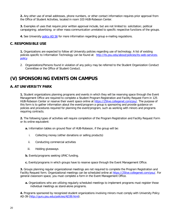**2.** Any other use of email addresses, phone numbers, or other contact information requires prior approval from the Office of Student Activities, located in room 103 HUB-Robeson Center.

**3.** Examples of uses that require prior written approval include, but are not limited to: solicitation; political campaigning; advertising; or other mass-communication unrelated to specific respective functions of the groups.

**4.** See University [policy AD 56](http://guru.psu.edu/policies/AD56.html) for more information regarding group e-mailing regulations.

#### <span id="page-19-0"></span>**C. RESPONSIBLE USE**

**1.** Organizations are expected to follow all University policies regarding use of technology. A list of existing policies specific to Information Technology can be found at:[http://its.psu.edu/about/policies/its-web-services](http://its.psu.edu/about/policies/its-web-services-policy)[policy](http://its.psu.edu/about/policies/its-web-services-policy)

<span id="page-19-1"></span>2. Organizations/Persons found in violation of any policy may be referred to the Student Organization Conduct Committee or the Office of Student Conduct.

## **(V) SPONSORING EVENTS ON CAMPUS**

## **A. AT UNIVERSITY PARK**

**1.** Student organizations planning programs and events in which they will be reserving space through the Event Management Office are required to complete a Student Program Registration and Facility Request Form in 125 HUB-Robeson Center or reserve their event space online at [https://25live.collegenet.com/psu/.](https://25live.collegenet.com/psu/) The purpose of this form is to gather information about the event/program a group is sponsoring and provide guidance on policies and procedures required for planning the event/program, such as working with minors and programs requiring contracts.

**2.** The following types of activities will require completion of the Program Registration and Facility Request Form or its online equivalent:

- **a.** Information tables on ground floor of HUB-Robeson, if the group will be:
	- i. Collecting money (either donations or selling products)
	- ii. Conducting commercial activities
	- iii. Holding giveaways
- **b.** Events/programs seeking UPAC funding.
- **c.** Events/programs in which groups have to reserve space through the Event Management Office.

**3.** Groups planning regular organizational meetings are not required to complete the Program Registration and Facility Request form. Organizational meetings can be scheduled online at [https://25live.collegenet.com/psu/.](https://25live.collegenet.com/psu/) For general classroom space, you must complete a form in the Event Management Office.

**a.** Organizations who are utilizing regularly scheduled meetings to implement programs must register those individual meetings as stand-alone programs.

**4.** Programs sponsored by recognized student organizations involving minors must comply with University Policy AD-39 [\(http://guru.psu.edu/policies/AD39.html\)](http://guru.psu.edu/policies/AD39.html).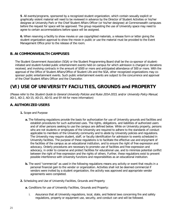**5**. All events/programs, sponsored by a recognized student organization, which contain sexually explicit or graphically violent material will need to be reviewed in advance by the Director of Student Activities or his/her designee at University Park or the Chief Student Affairs Officer (or his/her designee) at Commonwealth campuses before the request for space will be approved. The group requesting the use of University space may need to agree to certain accommodations before space will be assigned.

**6.** When reserving a facility to show movies or use copyrighted materials, a release form or letter giving the student organization approval to show the movie in public or use the material must be provided to the Event Management Office prior to the release of the room.

## **B. At COMMONWEALTH CAMPUSES**

<span id="page-20-0"></span>The Student Government Association (SGA) or the Student Programming Board shall be the co-sponsor of studentinitiated and student-funded public entertainment events held on campus for which admission is charged or donations received, and involving contracts in the amount of \$500 or more and anticipated attendance of 500 or more. With the approval of the Office of Student Affairs/Office of Student Life and the SGA, other recognized organizations may cosponsor public entertainment events. Such public entertainment events are subject to the concurrence and approval of the Chief Student Affairs Officer and the Chancellor.

## **(VI) USE OF UNIVERSITY FACILITIES, GROUNDS and PROPERTY**

(Please refer to the Student Guide to General University Policies and Rules 2014-2015, and/or University Policy Manual, AD-1, AD-2, AD-15, AD-21, AD-51 and SY-44 for more information)

## <span id="page-20-1"></span>**A. AUTHORIZED USERS**

- **1.** Scope and Purpose
	- **a.** The following regulations provide the basis for authorization for use of University grounds and facilities and establish procedures for such authorized uses. The rights, obligations, and liabilities of authorized users and of other persons seeking to use the campus are defined below. While on University property, persons who are not students or employees of the University are required to adhere to the standards of conduct applicable to members of the University community and to abide by University policies and regulations. The University may require student, staff, or faculty identification for admission to events scheduled in University facilities. The purpose of these regulations is to facilitate the effective use and enjoyment of the facilities of the campus as an educational institution, and to ensure the right of free expression and advocacy. Orderly procedures are necessary to promote use of facilities and free expression and advocacy, in order to conserve and protect facilities for educational use, and to minimize potential conflict between the right of free expression and the rights of others. Further, these regulations exist to prevent possible interference with University functions and responsibilities as an educational institution.
	- **b.** The word "commercial" as used in the following regulations means any activity or event that results in a personal financial gain to the vendor or organization. Activities shall not be deemed commercial if vendors were invited by a student organization, the activity was approved and appropriate vendor agreements were completed.
- **2.** Scheduling and Use of University Facilities, Grounds and Property
	- **a.** Conditions for use of University Facilities, Grounds and Property:
		- i. Assurance that all University regulations, local, state, and federal laws concerning fire and safety regulations, property or equipment use, security, and conduct can and will be followed.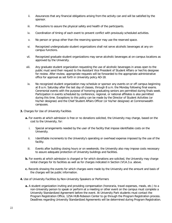- ii. Assurances that any financial obligations arising from the activity can and will be satisfied by the sponsor.
- iii. Precautions to assure the physical safety and health of the participants.
- iv. Coordination of timing of each event to prevent conflict with previously scheduled activities.
- v. No person or group other than the reserving sponsor may use the reserved space.
- vi. Recognized undergraduate student organizations shall not serve alcoholic beverages at any oncampus functions.
- vii. Recognized graduate student organizations may serve alcoholic beverages at on-campus locations as approved by the University.
- viii. Any graduate student organization requesting the use of alcoholic beverages in areas open to the public must send their request to the Assistant Vice President of Student Affairs or her/his designee for review. After review, appropriate requests will be forwarded to the appropriate administrative office for approval as set forth in University policy AD-18.
- ix. No recognized student organization may schedule or sponsor any events on or off campus beginning at 8 a.m. Saturday after the last day of classes, through 8 a.m. the Monday following final exams. Ceremonial events with the purpose of honoring graduating seniors are permitted during finals week. Participation in events scheduled by conference, regional, or national affiliates is also permitted during this time. Exceptions to this policy can be made by the Director of Student Activities (or his/her designee) and the Chief Student Affairs Officer (or his/her designee) at Commonwealth campuses.
- **3.** Charges for Use of University Facilities
	- **a.** For events at which admission is free or no donations solicited, the University may charge, based on the cost to the University, for:
		- i. Special arrangements needed by the user of the facility that impose identifiable costs on the University.
		- ii. Identifiable increments to the University's operating or overhead expense imposed by the use of the facility.
		- iii. Events after building closing hours or on weekends; the University also may impose costs necessary to assure adequate protection of University buildings and facilities.
	- **b.** For events at which admission is charged or for which donations are solicited, the University may charge rental charges for its facilities as well as for charges indicated in Section (VI)A.3.a. above.
	- **c.** Records showing the events for which charges were made by the University and the amount and basis of the charges will be public information.
- **4.** Use of University Facilities by Non-University Speakers or Performers
	- **a.** A student organization inviting and providing compensation (honoraria, travel expenses, meals, etc.) to a non-University person to speak or perform at a meeting or other event on the campus must complete a University Standardized Agreement before the event. At University Park students must contact the Program Registration Office, 125A HUB-Robeson Center to go through the Program Registration process. Deadlines regarding University Standardized Agreements will be determined during Program Registration.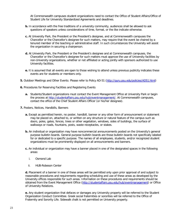At Commonwealth campuses student organizations need to contact the Office of Student Affairs/Office of Student Life for University Standardized Agreements and deadlines.

- **b.** In accordance with the free traditions of a university community, audiences shall be allowed to ask questions of speakers unless considerations of time, format, or the like indicate otherwise.
- **c.** At University Park, the President or the President's designee, and at Commonwealth campuses the Chancellor or the Chancellor's designee for such matters, may require that the event be chaired by a tenured member of the teaching or administrative staff. In such circumstances the University will assist the organization in securing a chairperson.
- **d.** At University Park, the President or the President's designee and at Commonwealth campuses, the Chancellor or the Chancellor's designee for such matters must approve the use of University facilities by non-University organizations, whether or not affiliated or acting jointly with sponsors authorized to use University facilities.
- **e.** It is assumed that all events are open to those wishing to attend unless previous publicity indicates these events are for students or members only.
- **5.** Outdoor Meetings and Other Events: Please refer to Policy AD-51 [\(http://guru.psu.edu/policies/AD51.html\)](http://guru.psu.edu/policies/AD51.html)
- **6.** Procedures for Reserving Facilities and Registering Events
	- **a.** Students/Student organizations must contact the Event Management Office at University Park or begin the process at [http://studentaffairs.psu.edu/hub/eventmanagement/.](http://studentaffairs.psu.edu/hub/eventmanagement/) At Commonwealth campuses, contact the office of the Chief Student Affairs Officer (or his/her designee).
- **7.** Posters, Notices, Handbills, Banners
	- **a.** Except as permitted herein, no poster, handbill, banner or any other form of announcement or statement may be placed on, attached to, or written on any structure or natural feature of the campus such as doors, poles, gates, fences, trees or other vegetation, windows, sides of buildings, the surface of walkways or roads, fountains, posts, waste receptacles, or stakes.
	- **b.** An individual or organization may have noncommercial announcements posted on the University's general purpose bulletin boards. General purpose bulletin boards are those bulletin boards not specifically labeled for or dedicated to a specific purpose. The names of all employees, students, and/or recognized student organizations must be prominently displayed on all announcements and banners.
	- **c.** An individual or organization may have a banner placed in one of the designated spaces in the following areas:
		- i. Osmond Lab
		- ii. HUB-Robeson Center

**d.** Placement of a banner in one of these areas will be permitted only upon prior approval of and subject to reasonable procedures and requirements regarding scheduling and use of these areas as developed by the University offices responsible for such areas. Information on these procedures and requirements should be obtained from the Event Management Office [\(http://studentaffairs.psu.edu/hub/eventmanagement\)](http://studentaffairs.psu.edu/hub/eventmanagement) or Office of University Relations.

**e.** Any student organization that defaces or damages any University property will be referred to the Student Organization Conduct Committee. Greek social fraternities or sororities will be referred to the Office of Fraternity and Sorority Life. Sidewalk chalk is not permitted on University property.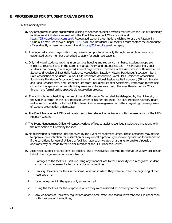## <span id="page-23-0"></span>**B. PROCEDURES FOR STUDENT ORGANIZATIONS**

- **1.** At University Park
	- **a.** Any recognized student organization wishing to sponsor student activities that require the use of University facilities must initiate its request with the Event Management Office or online at [https://25live.collegenet.com/psu/.](https://25live.collegenet.com/psu/) Recognized student organizations wishing to use the Pasquerilla Spiritual Center-Eisenhower Chapel (865-6548) and Residence Hall facilities must contact the appropriate offices directly or reserve space online at [https://25live.collegenet.com/psu/.](https://25live.collegenet.com/psu/)
	- **b.** A recognized student organization may reserve campus facilities only through one of its officers or a designated active member authorized to apply for such reservations.
	- **c.** Only individual students residing in on-campus housing and residence hall-based student groups are eligible to reserve space in the Commons areas (room and outdoor spaces). This includes individual students that belong to a recognized student organization, members of the Association of Residence Hall Students (inclusive of East Halls Residence Association, Eastview-Nittany Residence Association, North Halls Association of Students, Pollock Halls Residence Association, West Halls Residence Association, South Halls Residence Association), members of the National Residence Hall Honorary (NRHH), Housing and Food Services staff, and Residence Life staff (including Resident Assistants). Permission for the use of central lounges and community living areas must be received from the area Residence Life Office through the formal online space/table reservation process.
	- **d.** The authority for scheduling the use of the HUB-Robeson Center shall be delegated by the University to the Senior Director for the HUB-Robeson Center or his/her designee. The HUB-Robeson Advisory Board makes recommendations to the HUB-Robeson Center management in matters regarding the assignment of student organization office space.
	- **e.** The Event Management Office will assist recognized student organizations with the reservation of the HUB-Robeson Center.
	- **f.** The Event Management Office will contact various offices to assist recognized student organizations with the reservation of University facilities.
	- **g.** No reservation is complete until approved by the Event Management Office. These personnel may refuse to approve an application for reservation or may cancel a previously approved application for reservation if the conditions for use of University facilities have been violated or are unenforceable. Appeals of decisions may be made to the Senior Director of the HUB-Robeson Center.
	- **h.** Recognized student organizations, its officers, and any individual applying to reserve University facilities on behalf of an organization is responsible for:
		- i. Damages to the facilities used, including any financial loss to the University or a recognized student organization because of a temporary closing of facilities.
		- ii. Leaving University facilities in the same condition in which they were found at the beginning of the reserved time.
		- iii. Using equipment in the space only as authorized.
		- iv. Using the facilities for the purpose in which they were reserved for and only for the time reserved.
		- v. Any violations of University regulations and/or local, state, and federal laws that occur in connection with their use of the facilities: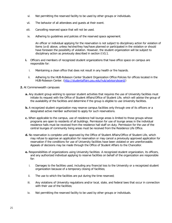- vi. Not permitting the reserved facility to be used by other groups or individuals.
- vii. The behavior of all attendees and guests at their event.
- viii. Cancelling reserved space that will not be used.
- ix. Adhering to guidelines and policies of the reserved space agreement.

An officer or individual applying for the reservation is not subject to disciplinary action for violation of items (a-d) above, unless he/she/they has/have planned or participated in the violation or should have foreseen the possibility of violation. However, the student organization will be subject to disciplinary action as previously described in section (I)G.1.

- **i.** Officers and members of recognized student organizations that have office space on campus are responsible for:
	- i. Maintaining a clean office that does not result in any health or fire hazards.
	- ii. Adhering to the HUB-Robeson Center Student Organization Office Policies for offices located in the HUB-Robeson Center. [\(http://studentaffairs.psu.edu/hub/advisoryboard/\)](http://studentaffairs.psu.edu/hub/advisoryboard/)
- **2.** At Commonwealth campuses
	- **a.** Any student group wishing to sponsor student activities that requires the use of University facilities must initiate its request with the Office of Student Affairs/Office of Student Life, which will advise the group of the availability of the facilities and determine if the group is eligible to use University facilities.
	- **b.** A recognized student organization may reserve campus facilities only through one of its officers or a designated active member authorized to apply for such reservations.
	- **c.** When applicable to the campus, use of residence hall lounge areas is limited to those groups whose programs are open to residents of all buildings. Permission for use of lounge areas in the individual residence halls must be received from the residence hall staff on duty. Permission for the use of the central lounges of community living areas must be received from the Residence Life Office.
	- **d.** No reservation is complete until approved by the Office of Student Affairs/Office of Student Life, which may refuse to approve an application for reservation or may cancel a previously approved application for reservation if the conditions for use of University facilities have been violated or are unenforceable. Appeals of decisions may be made through the Office of Student Affairs to the Chancellor.
	- **e.** Responsibilities of organizations using University facilities: A recognized student organization, its officers, and any authorized individual applying to reserve facilities on behalf of the organization are responsible for:
		- i. Damages to the facilities used, including any financial loss to the University or a recognized student organization because of a temporary closing of facilities;
		- ii. The use to which the facilities are put during the time reserved;
		- iii. Any violations of University regulations and/or local, state, and federal laws that occur in connection with their use of the facilities;
	- iv. Not permitting the reserved facility to be used by other groups or individuals.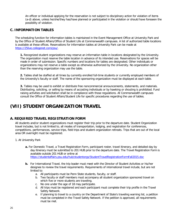An officer or individual applying for the reservation is not subject to disciplinary action for violation of items (a-d) above, unless he/she/they has/have planned or participated in the violation or should have foreseen the possibility of violation.

## <span id="page-25-0"></span>**C. INFORMATION TABLES**

The scheduling function for information tables is maintained in the Event Management Office at University Park and by the Office of Student Affairs/Office of Student Life at Commonwealth campuses. A list of authorized table locations is available at these offices. Reservations for information tables at University Park can be made at [https://25live.collegenet.com/psu/.](https://25live.collegenet.com/psu/)

**1.** Recognized student organizations may reserve an information table in locations designated by the University. The organization must reserve the table location in advance of its intended use. Reservations for spaces will be made in order of submission. Specific numbers and locations for tables are designated. Other individuals or organizations may not reserve a table except as otherwise authorized by the University. No organization other than the reserving organization may use the table.

**2.** Tables shall be staffed at all times by currently enrolled full-time students or currently employed members of the University's faculty or staff. The name of the sponsoring organization must be displayed at each table.

<span id="page-25-1"></span>**3.** Tables may be used to exhibit or distribute free noncommercial announcements, statements, and materials. Distributing, soliciting, or selling by means of accosting individuals or by hawking or shouting is prohibited. Fund raising activities and solicitation shall be in compliance with those regulations. At Commonwealth campuses consult the Office of Student Affairs/Student Life for specific procedures regarding the use of tables.

## **(VII) STUDENT ORGANIZATION TRAVEL**

## **A. REQUIRED TRAVEL REGISTRATION FORM**

All students and/or student organizations must register their trip prior to the departure date. Student Organization travel includes, but is not limited to, all modes of transportation, lodging, and registration for conferences, competitions, performances, service trips, field trips and student organization retreats. Trips that are out of the local area OR overnight must be registered.

- 1. At University Park
	- **a.** For Domestic Travel, a Travel Registration Form, participant roster, travel itinerary, and detailed day by day itinerary must be submitted to 201 HUB prior to the departure date. The Travel Registration Form is available outside 201 HUB or online at <https://studentaffairs.psu.edu/hub/studentorgs/StudentTravelRegistrationFormFall2015.doc>
	- **b.** For International Travel, the trip leader must meet with the Director of Student Activities or his/her designee to review the travel requirements. Requirements of international travel include, but are not limited to:
		- a. All participants must be Penn State students, faculty, or staff.
		- b. Two faculty or staff members must accompany all student organization sponsored travel on which five or more students are traveling.
		- c. No one under the age of 18 may participate.
		- d. All trips must be registered and each participant must complete their trip profile in the Travel Safety Network.
		- e. If planning to travel to a country on the Department of State's traveling warning list, a petition must be completed in the Travel Safety Network. If the petition is approved, all requirements must be met.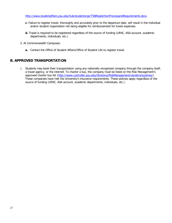[http://www.studentaffairs.psu.edu/hub/studentorgs/TSNRegistrtionProcessandRequirements.docx.](http://www.studentaffairs.psu.edu/hub/studentorgs/TSNRegistrtionProcessandRequirements.docx)

- **c.** Failure to register travel, thoroughly and accurately prior to the departure date, will result in the individual and/or student organization not being eligible for reimbursement for travel expenses.
- **d.** Travel is required to be registered regardless of the source of funding (UPAC, ASA account, academic departments, individuals, etc.)
- 2. At Commonwealth Campuses:
	- **a.** Contact the Office of Student Affairs/Office of Student Life to register travel.

## **B. APPROVED TRANSPORTATION**

<span id="page-26-0"></span>1. Students may book their transportation using any nationally recognized company through the company itself, a travel agency, or the internet. To charter a bus, the company must be listed on the Risk Management's approved charter bus list [\(http://www.controller.psu.edu/Divisions/RiskManagement/vendors/buslines/\)](http://www.controller.psu.edu/Divisions/RiskManagement/vendors/buslines/). These companies have met the University's insurance requirements. These policies apply regardless of the source of funding (UPAC, ASA account, academic departments, individuals, etc.).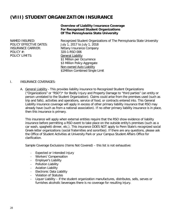## **(VIII) STUDENT ORGANIZATION INSURANCE**

#### **Overview of Liability Insurance Coverage For Recognized Student Organizations Of The Pennsylvania State University**

POLICY #: 320-1-RSO 006<br>POLICY LIMITS: General Liability POLICY LIMITS:

NAMED INSURED: Recognized Student Organizations of The Pennsylvania State University POLICY EFFECTIVE DATES: July 1, 2017 to July 1, 2018 INSURANCE CARRIER: Nittany Insurance Company \$1 Million per Occurrence \$3 Million Policy Aggregate Non-owned Auto Liability \$1Million Combined Single Limit

#### I. INSURANCE COVERAGES:

A. General Liability - This provides liability insurance to Recognized Student Organizations ("Organizations" or "RSO")\* for Bodily Injury and Property Damage to "third parties" (an entity or person unrelated to the Student Organization). Claims could arise from the premises used (such as trip and falls), activities and operations, service of food, or contracts entered into. This General Liability insurance coverage will apply in excess of other primary liability insurance that RSO may already have (such as from a national association). If no other primary liability insurance is in place, then this insurance is primary.

This insurance will apply when external entities require that the RSO show evidence of liability insurance before permitting a RSO event to take place on the outside entity's premises (such as a car wash, spaghetti dinner, etc.). This insurance DOES NOT apply to Penn State's recognized social Greek-letter organizations (social fraternities and sororities). If there are any questions, please ask the Office of Student Activities at University Park or your Campus Student Affairs Office for clarification.

Sample Coverage Exclusions (Items Not Covered) – this list is not exhaustive:

- Expected or Intended Injury
- Workers' Compensation
- Employer's Liability
- Pollution Liability
- Aviation Liability
- Electronic Data Liability
- Violation of Statutes
- Liquor Liability if the student organization manufactures, distributes, sells, serves or furnishes alcoholic beverages there is no coverage for resulting injury.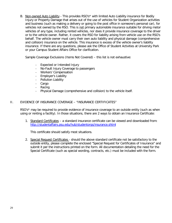B. Non-owned Auto Liability - This provides RSO's\* with limited Auto Liability insurance for Bodily Injury or Property Damage that arises out of the use of vehicles for Student Organization activities and business (such as making a delivery or going to the post office in someone's personal car), for vehicles not owned by the RSO. This is not primary automobile insurance suitable for driving motor vehicles of any type, including rented vehicles, nor does it provide insurance coverage to the driver or to the vehicle owner. Rather, it covers the RSO for liability arising from vehicle use on the RSO's behalf. The vehicle owner must carry their own auto liability and physical damage (comprehensive and collision) insurance on the vehicle. This insurance is excess of the vehicle owner's liability insurance. If there are any questions, please ask the Office of Student Activities at University Park or your Campus Student Affairs Office for clarification.

Sample Coverage Exclusions (Items Not Covered) – this list is not exhaustive:

- Expected or Intended Injury
- No-Fault Injury Coverage to passengers
- Workers' Compensation
- Employer's Liability
- Pollution Liability
- Cargo
- Racing
- Physical Damage (comprehensive and collision) to the vehicle itself.

#### II. EVIDENCE OF INSURANCE COVERAGE – "INSURANCE CERTIFICATES"

RSO's<sup>\*</sup> may be required to provide evidence of insurance coverage to an outside entity (such as when using or renting a facility). In those situations, there are 2 ways to obtain an Insurance Certificate:

1. Standard Certificates – a standard insurance certificate can be viewed and downloaded from: <http://studentaffairs.psu.edu/hub/studentorgs/insurance.shtml>

This certificate should satisfy most situations.

2. Special Request Certificates - should the above standard certificate not be satisfactory to the outside entity, please complete the enclosed "Special Request for Certificates of Insurance" and submit it per the instructions printed on the form. All documentation detailing the need for the Special Certificate (such as special wording, contracts, etc.) must be included with the form.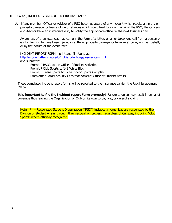#### III. CLAIMS, INCIDENTS, AND OTHER CIRCUMSTANCES

A. If any member, Officer or Advisor of a RSO becomes aware of any incident which results an injury or property damage, or learns of circumstances which could lead to a claim against the RSO, the Officers and Advisor have an immediate duty to notify the appropriate office by the next business day.

Awareness of circumstances may come in the form of a letter, email or telephone call from a person or entity claiming to have been injured or suffered property damage, or from an attorney on their behalf, or by the nature of the event itself.

INCIDENT REPORT FORM – print and fill, found at: <http://studentaffairs.psu.edu/hub/studentorgs/insurance.shtml> and submit to: From UP RSO's to the Office of Student Activities From UP Club Sports to 143 White Bldg From UP Team Sports to 1234 Indoor Sports Complex From other Campuses' RSO's to that campus' Office of Student Affairs

These completed incident report forms will be reported to the insurance carrier, the Risk Management Office.

**It is important to file the Incident report Form promptly!** Failure to do so may result in denial of coverage thus leaving the Organization or Club on its own to pay and/or defend a claim.

Note:  $* =$  Recognized Student Organization ("RSO") includes all organizations recognized by the Division of Student Affairs through their recognition process, regardless of Campus, including "Club Sports" where officially recognized.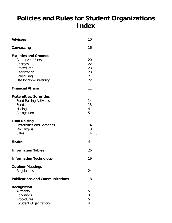# **Policies and Rules for Student Organizations Index**

| <b>Advisors</b>                                                                                                                          | 10                               |
|------------------------------------------------------------------------------------------------------------------------------------------|----------------------------------|
| Canvassing                                                                                                                               | 16                               |
| <b>Facilities and Grounds</b><br><b>Authorized Users</b><br>Charges<br>Procedures<br>Registration<br>Scheduling<br>Use by Non-University | 20<br>22<br>23<br>23<br>21<br>22 |
| <b>Financial Affairs</b>                                                                                                                 | 11                               |
| <b>Fraternities/Sororities</b><br><b>Fund Raising Activities</b><br><b>Funds</b><br>Hazing<br>Recognition                                | 14<br>13<br>4<br>5               |
| <b>Fund Raising</b><br><b>Fraternities and Sororities</b><br>On campus<br><b>Sales</b>                                                   | 14<br>13<br>14, 15               |
| <b>Hazing</b>                                                                                                                            | 4                                |
| <b>Information Tables</b>                                                                                                                | 26                               |
| <b>Information Technology</b>                                                                                                            | 19                               |
| <b>Outdoor Meetings</b><br>Regulations                                                                                                   | 24                               |
| <b>Publications and Communications</b>                                                                                                   | 18                               |
| <b>Recognition</b><br>Authority<br>Conditions<br>Procedures<br><b>Student Organizations</b>                                              | 5<br>3<br>5<br>$\overline{4}$    |